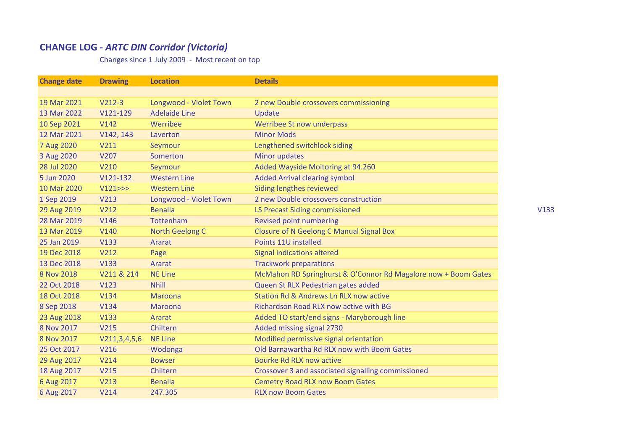## **CHANGE LOG ‐** *ARTC DIN Corridor (Victoria)*

Changes since 1 July 2009 ‐ Most recent on top

| <b>Change date</b> | <b>Drawing</b>   | <b>Location</b>        | <b>Details</b>                                                 |
|--------------------|------------------|------------------------|----------------------------------------------------------------|
|                    |                  |                        |                                                                |
| 19 Mar 2021        | $V212-3$         | Longwood - Violet Town | 2 new Double crossovers commissioning                          |
| 13 Mar 2022        | V121-129         | <b>Adelaide Line</b>   | Update                                                         |
| 10 Sep 2021        | V142             | Werribee               | Werribee St now underpass                                      |
| 12 Mar 2021        | V142, 143        | Laverton               | <b>Minor Mods</b>                                              |
| 7 Aug 2020         | V211             | Seymour                | Lengthened switchlock siding                                   |
| 3 Aug 2020         | V207             | Somerton               | Minor updates                                                  |
| 28 Jul 2020        | V210             | Seymour                | Added Wayside Moitoring at 94.260                              |
| 5 Jun 2020         | V121-132         | <b>Western Line</b>    | <b>Added Arrival clearing symbol</b>                           |
| 10 Mar 2020        | V121>>           | <b>Western Line</b>    | Siding lengthes reviewed                                       |
| 1 Sep 2019         | V213             | Longwood - Violet Town | 2 new Double crossovers construction                           |
| 29 Aug 2019        | V212             | <b>Benalla</b>         | <b>LS Precast Siding commissioned</b>                          |
| 28 Mar 2019        | V146             | Tottenham              | Revised point numbering                                        |
| 13 Mar 2019        | <b>V140</b>      | <b>North Geelong C</b> | <b>Closure of N Geelong C Manual Signal Box</b>                |
| 25 Jan 2019        | <b>V133</b>      | Ararat                 | Points 11U installed                                           |
| 19 Dec 2018        | V212             | Page                   | <b>Signal indications altered</b>                              |
| 13 Dec 2018        | <b>V133</b>      | Ararat                 | <b>Trackwork preparations</b>                                  |
| 8 Nov 2018         | V211 & 214       | <b>NE Line</b>         | McMahon RD Springhurst & O'Connor Rd Magalore now + Boom Gates |
| 22 Oct 2018        | V123             | <b>Nhill</b>           | Queen St RLX Pedestrian gates added                            |
| 18 Oct 2018        | V134             | Maroona                | Station Rd & Andrews Ln RLX now active                         |
| 8 Sep 2018         | V134             | Maroona                | Richardson Road RLX now active with BG                         |
| 23 Aug 2018        | <b>V133</b>      | Ararat                 | Added TO start/end signs - Maryborough line                    |
| 8 Nov 2017         | <b>V215</b>      | Chiltern               | Added missing signal 2730                                      |
| 8 Nov 2017         | V211, 3, 4, 5, 6 | <b>NE Line</b>         | Modified permissive signal orientation                         |
| 25 Oct 2017        | V216             | Wodonga                | Old Barnawartha Rd RLX now with Boom Gates                     |
| 29 Aug 2017        | V214             | <b>Bowser</b>          | <b>Bourke Rd RLX now active</b>                                |
| 18 Aug 2017        | V215             | Chiltern               | Crossover 3 and associated signalling commissioned             |
| 6 Aug 2017         | <b>V213</b>      | <b>Benalla</b>         | <b>Cemetry Road RLX now Boom Gates</b>                         |
| 6 Aug 2017         | V214             | 247.305                | <b>RLX now Boom Gates</b>                                      |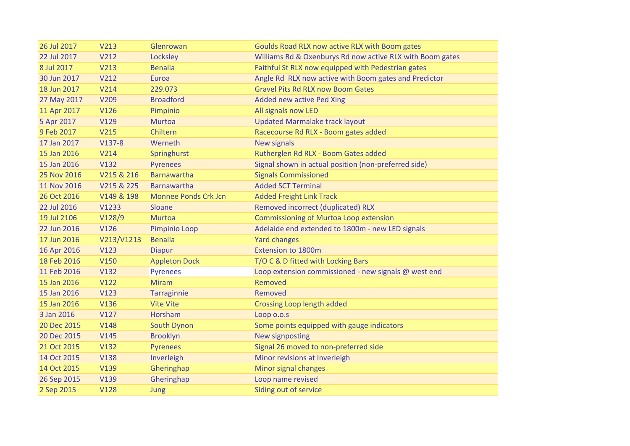| 26 Jul 2017 | V213        | Glenrowan                   | Goulds Road RLX now active RLX with Boom gates            |
|-------------|-------------|-----------------------------|-----------------------------------------------------------|
| 22 Jul 2017 | V212        | Locksley                    | Williams Rd & Oxenburys Rd now active RLX with Boom gates |
| 8 Jul 2017  | V213        | <b>Benalla</b>              | Faithful St RLX now equipped with Pedestrian gates        |
| 30 Jun 2017 | V212        | Euroa                       | Angle Rd RLX now active with Boom gates and Predictor     |
| 18 Jun 2017 | V214        | 229.073                     | <b>Gravel Pits Rd RLX now Boom Gates</b>                  |
| 27 May 2017 | V209        | <b>Broadford</b>            | Added new active Ped Xing                                 |
| 11 Apr 2017 | V126        | Pimpinio                    | All signals now LED                                       |
| 5 Apr 2017  | V129        | <b>Murtoa</b>               | <b>Updated Marmalake track layout</b>                     |
| 9 Feb 2017  | <b>V215</b> | Chiltern                    | Racecourse Rd RLX - Boom gates added                      |
| 17 Jan 2017 | $V137-8$    | Werneth                     | <b>New signals</b>                                        |
| 15 Jan 2016 | V214        | Springhurst                 | Rutherglen Rd RLX - Boom Gates added                      |
| 15 Jan 2016 | V132        | <b>Pyrenees</b>             | Signal shown in actual position (non-preferred side)      |
| 25 Nov 2016 | V215 & 216  | <b>Barnawartha</b>          | <b>Signals Commissioned</b>                               |
| 11 Nov 2016 | V215 & 225  | <b>Barnawartha</b>          | <b>Added SCT Terminal</b>                                 |
| 26 Oct 2016 | V149 & 198  | <b>Monnee Ponds Crk Jcn</b> | <b>Added Freight Link Track</b>                           |
| 22 Jul 2016 | V1233       | Sloane                      | Removed incorrect (duplicated) RLX                        |
| 19 Jul 2106 | V128/9      | <b>Murtoa</b>               | <b>Commissioning of Murtoa Loop extension</b>             |
| 22 Jun 2016 | V126        | Pimpinio Loop               | Adelaide end extended to 1800m - new LED signals          |
| 17 Jun 2016 | V213/V1213  | <b>Benalla</b>              | <b>Yard changes</b>                                       |
| 16 Apr 2016 | V123        | <b>Diapur</b>               | <b>Extension to 1800m</b>                                 |
| 18 Feb 2016 | <b>V150</b> | <b>Appleton Dock</b>        | T/O C & D fitted with Locking Bars                        |
| 11 Feb 2016 | V132        | <b>Pyrenees</b>             | Loop extension commissioned - new signals @ west end      |
| 15 Jan 2016 | V122        | <b>Miram</b>                | Removed                                                   |
| 15 Jan 2016 | V123        | <b>Tarraginnie</b>          | Removed                                                   |
| 15 Jan 2016 | V136        | <b>Vite Vite</b>            | <b>Crossing Loop length added</b>                         |
| 3 Jan 2016  | V127        | Horsham                     | Loop o.o.s                                                |
| 20 Dec 2015 | <b>V148</b> | South Dynon                 | Some points equipped with gauge indicators                |
| 20 Dec 2015 | V145        | <b>Brooklyn</b>             | <b>New signposting</b>                                    |
| 21 Oct 2015 | V132        | <b>Pyrenees</b>             | Signal 26 moved to non-preferred side                     |
| 14 Oct 2015 | <b>V138</b> | Inverleigh                  | Minor revisions at Inverleigh                             |
| 14 Oct 2015 | V139        | Gheringhap                  | Minor signal changes                                      |
| 26 Sep 2015 | V139        | Gheringhap                  | Loop name revised                                         |
| 2 Sep 2015  | <b>V128</b> | Jung                        | Siding out of service                                     |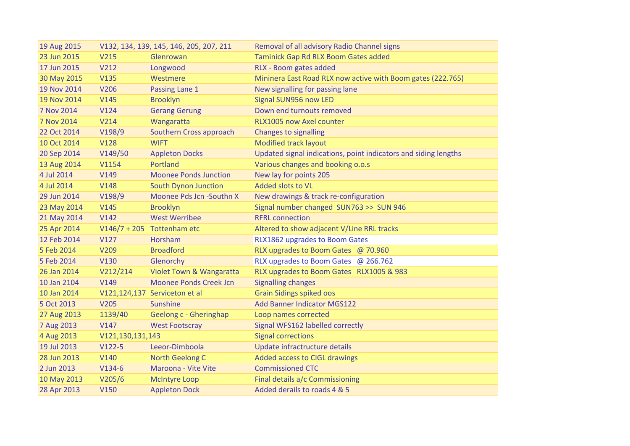| 19 Aug 2015 |                  | V132, 134, 139, 145, 146, 205, 207, 211 | Removal of all advisory Radio Channel signs                     |
|-------------|------------------|-----------------------------------------|-----------------------------------------------------------------|
| 23 Jun 2015 | <b>V215</b>      | Glenrowan                               | Taminick Gap Rd RLX Boom Gates added                            |
| 17 Jun 2015 | V212             | Longwood                                | RLX - Boom gates added                                          |
| 30 May 2015 | <b>V135</b>      | Westmere                                | Mininera East Road RLX now active with Boom gates (222.765)     |
| 19 Nov 2014 | V206             | Passing Lane 1                          | New signalling for passing lane                                 |
| 19 Nov 2014 | V145             | <b>Brooklyn</b>                         | Signal SUN956 now LED                                           |
| 7 Nov 2014  | V124             | <b>Gerang Gerung</b>                    | Down end turnouts removed                                       |
| 7 Nov 2014  | V214             | Wangaratta                              | RLX1005 now Axel counter                                        |
| 22 Oct 2014 | V198/9           | Southern Cross approach                 | <b>Changes to signalling</b>                                    |
| 10 Oct 2014 | <b>V128</b>      | <b>WIFT</b>                             | Modified track layout                                           |
| 20 Sep 2014 | V149/50          | <b>Appleton Docks</b>                   | Updated signal indications, point indicators and siding lengths |
| 13 Aug 2014 | V1154            | Portland                                | Various changes and booking o.o.s                               |
| 4 Jul 2014  | V149             | <b>Moonee Ponds Junction</b>            | New lay for points 205                                          |
| 4 Jul 2014  | <b>V148</b>      | <b>South Dynon Junction</b>             | Added slots to VL                                               |
| 29 Jun 2014 | V198/9           | Moonee Pds Jcn -Southn X                | New drawings & track re-configuration                           |
| 23 May 2014 | V145             | <b>Brooklyn</b>                         | Signal number changed SUN763 >> SUN 946                         |
| 21 May 2014 | V142             | <b>West Werribee</b>                    | <b>RFRL connection</b>                                          |
| 25 Apr 2014 |                  | $V146/7 + 205$ Tottenham etc            | Altered to show adjacent V/Line RRL tracks                      |
| 12 Feb 2014 | V127             | Horsham                                 | RLX1862 upgrades to Boom Gates                                  |
| 5 Feb 2014  | V209             | <b>Broadford</b>                        | RLX upgrades to Boom Gates @ 70.960                             |
| 5 Feb 2014  | V130             | Glenorchy                               | RLX upgrades to Boom Gates @ 266.762                            |
| 26 Jan 2014 | V212/214         | Violet Town & Wangaratta                | RLX upgrades to Boom Gates RLX1005 & 983                        |
| 10 Jan 2104 | V149             | <b>Moonee Ponds Creek Jcn</b>           | <b>Signalling changes</b>                                       |
| 10 Jan 2014 |                  | V121,124,137 Serviceton et al           | <b>Grain Sidings spiked oos</b>                                 |
| 5 Oct 2013  | V205             | Sunshine                                | <b>Add Banner Indicator MGS122</b>                              |
| 27 Aug 2013 | 1139/40          | Geelong c - Gheringhap                  | Loop names corrected                                            |
| 7 Aug 2013  | V147             | <b>West Footscray</b>                   | Signal WFS162 labelled correctly                                |
| 4 Aug 2013  | V121,130,131,143 |                                         | <b>Signal corrections</b>                                       |
| 19 Jul 2013 | $V122-5$         | Leeor-Dimboola                          | Update infractructure details                                   |
| 28 Jun 2013 | V140             | North Geelong C                         | Added access to CIGL drawings                                   |
| 2 Jun 2013  | $V134-6$         | Maroona - Vite Vite                     | <b>Commissioned CTC</b>                                         |
| 10 May 2013 | V205/6           | <b>McIntyre Loop</b>                    | Final details a/c Commissioning                                 |
| 28 Apr 2013 | <b>V150</b>      | <b>Appleton Dock</b>                    | Added derails to roads 4 & 5                                    |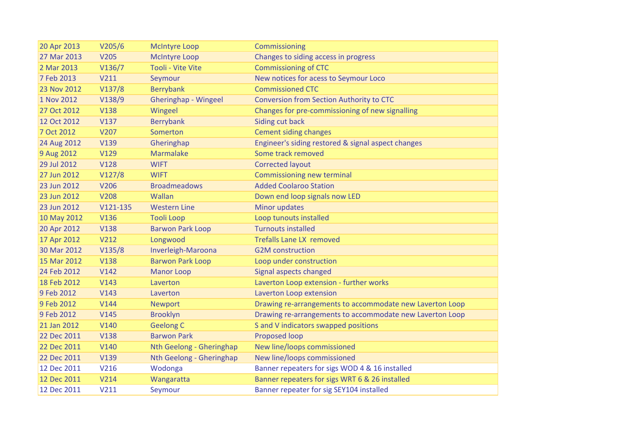| 20 Apr 2013 | V205/6      | <b>McIntyre Loop</b>     | Commissioning                                            |
|-------------|-------------|--------------------------|----------------------------------------------------------|
| 27 Mar 2013 | <b>V205</b> | <b>McIntyre Loop</b>     | Changes to siding access in progress                     |
| 2 Mar 2013  | V136/7      | <b>Tooli - Vite Vite</b> | <b>Commissioning of CTC</b>                              |
| 7 Feb 2013  | V211        | Seymour                  | New notices for acess to Seymour Loco                    |
| 23 Nov 2012 | V137/8      | <b>Berrybank</b>         | <b>Commissioned CTC</b>                                  |
| 1 Nov 2012  | V138/9      | Gheringhap - Wingeel     | Conversion from Section Authority to CTC                 |
| 27 Oct 2012 | <b>V138</b> | Wingeel                  | Changes for pre-commissioning of new signalling          |
| 12 Oct 2012 | <b>V137</b> | <b>Berrybank</b>         | Siding cut back                                          |
| 7 Oct 2012  | V207        | Somerton                 | <b>Cement siding changes</b>                             |
| 24 Aug 2012 | V139        | Gheringhap               | Engineer's siding restored & signal aspect changes       |
| 9 Aug 2012  | V129        | <b>Marmalake</b>         | Some track removed                                       |
| 29 Jul 2012 | <b>V128</b> | <b>WIFT</b>              | <b>Corrected layout</b>                                  |
| 27 Jun 2012 | V127/8      | <b>WIFT</b>              | Commissioning new terminal                               |
| 23 Jun 2012 | V206        | <b>Broadmeadows</b>      | <b>Added Coolaroo Station</b>                            |
| 23 Jun 2012 | <b>V208</b> | Wallan                   | Down end loop signals now LED                            |
| 23 Jun 2012 | $V121-135$  | <b>Western Line</b>      | <b>Minor updates</b>                                     |
| 10 May 2012 | V136        | <b>Tooli Loop</b>        | Loop tunouts installed                                   |
| 20 Apr 2012 | <b>V138</b> | <b>Barwon Park Loop</b>  | <b>Turnouts installed</b>                                |
| 17 Apr 2012 | V212        | Longwood                 | <b>Trefalls Lane LX removed</b>                          |
| 30 Mar 2012 | V135/8      | Inverleigh-Maroona       | <b>G2M</b> construction                                  |
| 15 Mar 2012 | <b>V138</b> | <b>Barwon Park Loop</b>  | Loop under construction                                  |
| 24 Feb 2012 | V142        | <b>Manor Loop</b>        | Signal aspects changed                                   |
| 18 Feb 2012 | V143        | Laverton                 | Laverton Loop extension - further works                  |
| 9 Feb 2012  | V143        | Laverton                 | Laverton Loop extension                                  |
| 9 Feb 2012  | V144        | <b>Newport</b>           | Drawing re-arrangements to accommodate new Laverton Loop |
| 9 Feb 2012  | V145        | <b>Brooklyn</b>          | Drawing re-arrangements to accommodate new Laverton Loop |
| 21 Jan 2012 | V140        | <b>Geelong C</b>         | S and V indicators swapped positions                     |
| 22 Dec 2011 | <b>V138</b> | <b>Barwon Park</b>       | Proposed loop                                            |
| 22 Dec 2011 | V140        | Nth Geelong - Gheringhap | New line/loops commissioned                              |
| 22 Dec 2011 | V139        | Nth Geelong - Gheringhap | New line/loops commissioned                              |
| 12 Dec 2011 | V216        | Wodonga                  | Banner repeaters for sigs WOD 4 & 16 installed           |
| 12 Dec 2011 | V214        | Wangaratta               | Banner repeaters for sigs WRT 6 & 26 installed           |
| 12 Dec 2011 | V211        | Seymour                  | Banner repeater for sig SEY104 installed                 |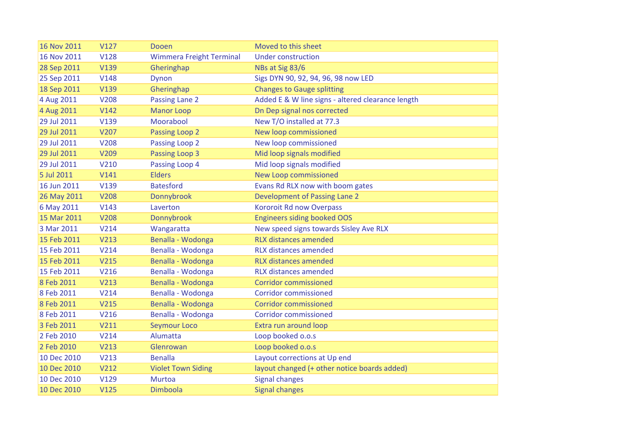|                  |                                                     | Moved to this sheet                                                           |
|------------------|-----------------------------------------------------|-------------------------------------------------------------------------------|
|                  |                                                     | <b>Under construction</b>                                                     |
|                  |                                                     | NBs at Sig 83/6                                                               |
|                  |                                                     | Sigs DYN 90, 92, 94, 96, 98 now LED                                           |
|                  |                                                     | <b>Changes to Gauge splitting</b>                                             |
|                  | <b>Passing Lane 2</b>                               | Added E & W line signs - altered clearance length                             |
| V142             | <b>Manor Loop</b>                                   | Dn Dep signal nos corrected                                                   |
| V139             | Moorabool                                           | New T/O installed at 77.3                                                     |
| V207             | Passing Loop 2                                      | New loop commissioned                                                         |
| <b>V208</b>      | Passing Loop 2                                      | New loop commissioned                                                         |
| V209             | <b>Passing Loop 3</b>                               | Mid loop signals modified                                                     |
| V210             | Passing Loop 4                                      | Mid loop signals modified                                                     |
| V141             | <b>Elders</b>                                       | New Loop commissioned                                                         |
| V139             | <b>Batesford</b>                                    | Evans Rd RLX now with boom gates                                              |
| <b>V208</b>      | Donnybrook                                          | Development of Passing Lane 2                                                 |
| V143             | Laverton                                            | <b>Kororoit Rd now Overpass</b>                                               |
| <b>V208</b>      | Donnybrook                                          | <b>Engineers siding booked OOS</b>                                            |
| V <sub>214</sub> | Wangaratta                                          | New speed signs towards Sisley Ave RLX                                        |
| V213             | Benalla - Wodonga                                   | <b>RLX distances amended</b>                                                  |
| V <sub>214</sub> | Benalla - Wodonga                                   | <b>RLX distances amended</b>                                                  |
| V215             | Benalla - Wodonga                                   | <b>RLX distances amended</b>                                                  |
| V216             | Benalla - Wodonga                                   | <b>RLX distances amended</b>                                                  |
| V213             | Benalla - Wodonga                                   | <b>Corridor commissioned</b>                                                  |
| V <sub>214</sub> | Benalla - Wodonga                                   | <b>Corridor commissioned</b>                                                  |
| V215             | Benalla - Wodonga                                   | <b>Corridor commissioned</b>                                                  |
| V216             | Benalla - Wodonga                                   | <b>Corridor commissioned</b>                                                  |
| V211             | <b>Seymour Loco</b>                                 | Extra run around loop                                                         |
| V <sub>214</sub> | Alumatta                                            | Loop booked o.o.s                                                             |
| V213             | Glenrowan                                           | Loop booked o.o.s                                                             |
| V213             | <b>Benalla</b>                                      | Layout corrections at Up end                                                  |
| V212             | <b>Violet Town Siding</b>                           | layout changed (+ other notice boards added)                                  |
| V129             | <b>Murtoa</b>                                       | <b>Signal changes</b>                                                         |
| V125             | Dimboola                                            | <b>Signal changes</b>                                                         |
|                  | V127<br>V128<br>V139<br>V148<br>V139<br><b>V208</b> | Dooen<br><b>Wimmera Freight Terminal</b><br>Gheringhap<br>Dynon<br>Gheringhap |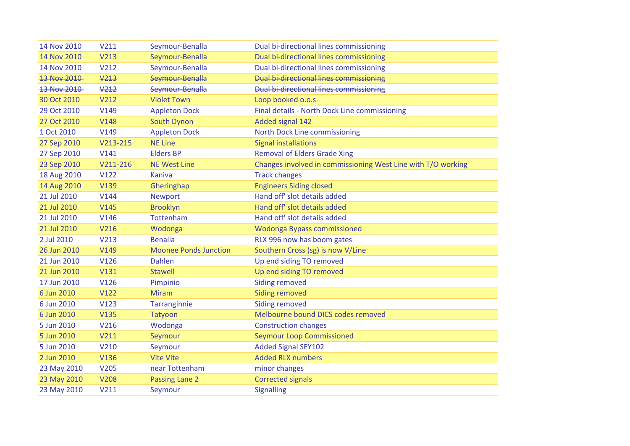| 14 Nov 2010 | V211         | Seymour-Benalla              | Dual bi-directional lines commissioning                      |
|-------------|--------------|------------------------------|--------------------------------------------------------------|
| 14 Nov 2010 | V213         | Seymour-Benalla              | Dual bi-directional lines commissioning                      |
| 14 Nov 2010 | V212         | Seymour-Benalla              | Dual bi-directional lines commissioning                      |
| 13 Nov 2010 | $\sqrt{213}$ | Seymour-Benalla              | <b>Dual bi-directional lines commissioning</b>               |
| 13 Nov 2010 | V212         | Seymour-Benalla              | <b>Dual bi-directional lines commissioning</b>               |
| 30 Oct 2010 | V212         | <b>Violet Town</b>           | Loop booked o.o.s                                            |
| 29 Oct 2010 | V149         | <b>Appleton Dock</b>         | Final details - North Dock Line commissioning                |
| 27 Oct 2010 | <b>V148</b>  | South Dynon                  | Added signal 142                                             |
| 1 Oct 2010  | V149         | <b>Appleton Dock</b>         | North Dock Line commissioning                                |
| 27 Sep 2010 | V213-215     | <b>NE Line</b>               | <b>Signal installations</b>                                  |
| 27 Sep 2010 | V141         | <b>Elders BP</b>             | <b>Removal of Elders Grade Xing</b>                          |
| 23 Sep 2010 | V211-216     | <b>NE West Line</b>          | Changes involved in commissioning West Line with T/O working |
| 18 Aug 2010 | V122         | Kaniva                       | <b>Track changes</b>                                         |
| 14 Aug 2010 | V139         | Gheringhap                   | <b>Engineers Siding closed</b>                               |
| 21 Jul 2010 | V144         | Newport                      | Hand off' slot details added                                 |
| 21 Jul 2010 | V145         | <b>Brooklyn</b>              | Hand off' slot details added                                 |
| 21 Jul 2010 | V146         | Tottenham                    | Hand off' slot details added                                 |
| 21 Jul 2010 | V216         | Wodonga                      | <b>Wodonga Bypass commissioned</b>                           |
| 2 Jul 2010  | V213         | <b>Benalla</b>               | RLX 996 now has boom gates                                   |
| 26 Jun 2010 | V149         | <b>Moonee Ponds Junction</b> | Southern Cross (sg) is now V/Line                            |
| 21 Jun 2010 | V126         | <b>Dahlen</b>                | Up end siding TO removed                                     |
| 21 Jun 2010 | V131         | <b>Stawell</b>               | Up end siding TO removed                                     |
| 17 Jun 2010 | V126         | Pimpinio                     | <b>Siding removed</b>                                        |
| 6 Jun 2010  | V122         | <b>Miram</b>                 | <b>Siding removed</b>                                        |
| 6 Jun 2010  | V123         | Tarranginnie                 | <b>Siding removed</b>                                        |
| 6 Jun 2010  | <b>V135</b>  | Tatyoon                      | Melbourne bound DICS codes removed                           |
| 5 Jun 2010  | V216         | Wodonga                      | <b>Construction changes</b>                                  |
| 5 Jun 2010  | V211         | Seymour                      | <b>Seymour Loop Commissioned</b>                             |
| 5 Jun 2010  | V210         | Seymour                      | <b>Added Signal SEY102</b>                                   |
| 2 Jun 2010  | V136         | <b>Vite Vite</b>             | <b>Added RLX numbers</b>                                     |
| 23 May 2010 | V205         | near Tottenham               | minor changes                                                |
| 23 May 2010 | <b>V208</b>  | Passing Lane 2               | <b>Corrected signals</b>                                     |
| 23 May 2010 | V211         | Seymour                      | <b>Signalling</b>                                            |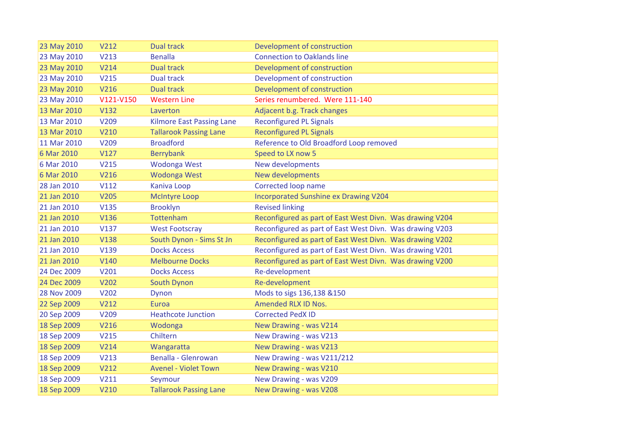| 23 May 2010 | V212             | <b>Dual track</b>                | Development of construction                              |
|-------------|------------------|----------------------------------|----------------------------------------------------------|
| 23 May 2010 | V213             | <b>Benalla</b>                   | <b>Connection to Oaklands line</b>                       |
| 23 May 2010 | V214             | <b>Dual track</b>                | Development of construction                              |
| 23 May 2010 | V215             | Dual track                       | Development of construction                              |
| 23 May 2010 | V216             | <b>Dual track</b>                | Development of construction                              |
| 23 May 2010 | V121-V150        | <b>Western Line</b>              | Series renumbered. Were 111-140                          |
| 13 Mar 2010 | V132             | Laverton                         | Adjacent b.g. Track changes                              |
| 13 Mar 2010 | V209             | <b>Kilmore East Passing Lane</b> | <b>Reconfigured PL Signals</b>                           |
| 13 Mar 2010 | V210             | <b>Tallarook Passing Lane</b>    | <b>Reconfigured PL Signals</b>                           |
| 11 Mar 2010 | V209             | <b>Broadford</b>                 | Reference to Old Broadford Loop removed                  |
| 6 Mar 2010  | V127             | Berrybank                        | Speed to LX now 5                                        |
| 6 Mar 2010  | V215             | Wodonga West                     | New developments                                         |
| 6 Mar 2010  | V216             | Wodonga West                     | New developments                                         |
| 28 Jan 2010 | V112             | Kaniva Loop                      | Corrected loop name                                      |
| 21 Jan 2010 | <b>V205</b>      | <b>McIntyre Loop</b>             | Incorporated Sunshine ex Drawing V204                    |
| 21 Jan 2010 | <b>V135</b>      | <b>Brooklyn</b>                  | <b>Revised linking</b>                                   |
| 21 Jan 2010 | V136             | Tottenham                        | Reconfigured as part of East West Divn. Was drawing V204 |
| 21 Jan 2010 | V137             | <b>West Footscray</b>            | Reconfigured as part of East West Divn. Was drawing V203 |
| 21 Jan 2010 | <b>V138</b>      | South Dynon - Sims St Jn         | Reconfigured as part of East West Divn. Was drawing V202 |
| 21 Jan 2010 | V139             | <b>Docks Access</b>              | Reconfigured as part of East West Divn. Was drawing V201 |
| 21 Jan 2010 | V140             | <b>Melbourne Docks</b>           | Reconfigured as part of East West Divn. Was drawing V200 |
| 24 Dec 2009 | V201             | <b>Docks Access</b>              | Re-development                                           |
| 24 Dec 2009 | V202             | South Dynon                      | Re-development                                           |
| 28 Nov 2009 | V202             | Dynon                            | Mods to sigs 136,138 &150                                |
| 22 Sep 2009 | V212             | Euroa                            | <b>Amended RLX ID Nos.</b>                               |
| 20 Sep 2009 | V209             | <b>Heathcote Junction</b>        | <b>Corrected PedX ID</b>                                 |
| 18 Sep 2009 | V216             | Wodonga                          | New Drawing - was V214                                   |
| 18 Sep 2009 | V215             | Chiltern                         | New Drawing - was V213                                   |
| 18 Sep 2009 | V <sub>214</sub> | Wangaratta                       | New Drawing - was V213                                   |
| 18 Sep 2009 | V213             | Benalla - Glenrowan              | New Drawing - was V211/212                               |
| 18 Sep 2009 | V212             | <b>Avenel - Violet Town</b>      | New Drawing - was V210                                   |
| 18 Sep 2009 | V211             | Seymour                          | New Drawing - was V209                                   |
| 18 Sep 2009 | V210             | <b>Tallarook Passing Lane</b>    | New Drawing - was V208                                   |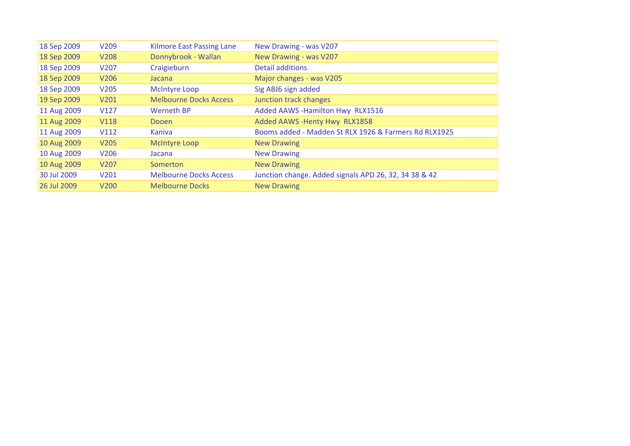| 18 Sep 2009 | V <sub>209</sub> | <b>Kilmore East Passing Lane</b> | New Drawing - was V207                                |
|-------------|------------------|----------------------------------|-------------------------------------------------------|
| 18 Sep 2009 | V <sub>208</sub> | Donnybrook - Wallan              | New Drawing - was V207                                |
| 18 Sep 2009 | V207             | Craigieburn                      | Detail additions                                      |
| 18 Sep 2009 | V206             | Jacana                           | Major changes - was V205                              |
| 18 Sep 2009 | V205             | <b>McIntyre Loop</b>             | Sig ABJ6 sign added                                   |
| 19 Sep 2009 | V201             | <b>Melbourne Docks Access</b>    | Junction track changes                                |
| 11 Aug 2009 | V127             | <b>Werneth BP</b>                | Added AAWS - Hamilton Hwy RLX1516                     |
| 11 Aug 2009 | <b>V118</b>      | Dooen                            | Added AAWS - Henty Hwy RLX1858                        |
| 11 Aug 2009 | V112             | Kaniva                           | Booms added - Madden St RLX 1926 & Farmers Rd RLX1925 |
| 10 Aug 2009 | V205             | <b>McIntyre Loop</b>             | <b>New Drawing</b>                                    |
| 10 Aug 2009 | V206             | Jacana                           | <b>New Drawing</b>                                    |
| 10 Aug 2009 | V <sub>207</sub> | Somerton                         | <b>New Drawing</b>                                    |
| 30 Jul 2009 | V201             | <b>Melbourne Docks Access</b>    | Junction change. Added signals APD 26, 32, 34 38 & 42 |
| 26 Jul 2009 | V <sub>200</sub> | <b>Melbourne Docks</b>           | <b>New Drawing</b>                                    |